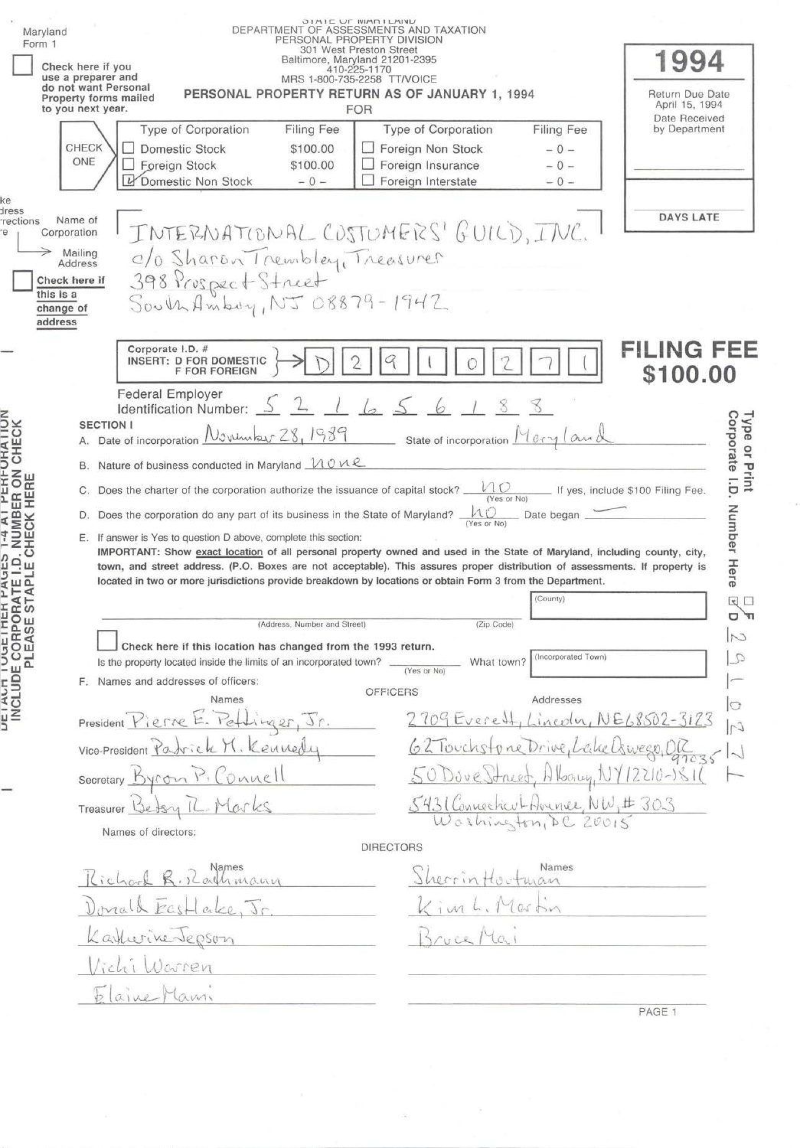| Form 1                                                                              | Maryland                                                          | Check here if you<br>use a preparer and<br>do not want Personal<br>to you next year.<br>CHECK<br>ONE | Property forms mailed<br>Type of Corporation<br>Domestic Stock<br>Foreign Stock<br>U<br>Domestic Non Stock                                                                                                                                                                                                                                                                                                                                                                                                                                                                    | Filing Fee<br>\$100.00<br>\$100.00<br>$-0-$ | <b>OINIE UF IVIANILAINU</b><br>DEPARTMENT OF ASSESSMENTS AND TAXATION<br>PERSONAL PROPERTY DIVISION<br>301 West Preston Street<br>Baltimore, Maryland 21201-2395<br>410-225-1170<br>MRS 1-800-735-2258 TT/VOICE<br>PERSONAL PROPERTY RETURN AS OF JANUARY 1, 1994<br>FOR<br>Type of Corporation<br>Foreign Non Stock<br>Foreign Insurance<br>Foreign Interstate | Filing Fee<br>$-0-$<br>$-0-$<br>$-0-$                                                            | 1994<br>Return Due Date<br>April 15, 1994<br>Date Received<br>by Department                           |
|-------------------------------------------------------------------------------------|-------------------------------------------------------------------|------------------------------------------------------------------------------------------------------|-------------------------------------------------------------------------------------------------------------------------------------------------------------------------------------------------------------------------------------------------------------------------------------------------------------------------------------------------------------------------------------------------------------------------------------------------------------------------------------------------------------------------------------------------------------------------------|---------------------------------------------|-----------------------------------------------------------------------------------------------------------------------------------------------------------------------------------------------------------------------------------------------------------------------------------------------------------------------------------------------------------------|--------------------------------------------------------------------------------------------------|-------------------------------------------------------------------------------------------------------|
| œ<br>ress<br>rections<br>e                                                          | Corporation<br>Check here if<br>this is a<br>change of<br>address | Name of<br>Mailing<br>Address                                                                        | INTERNATIONAL COSTUMERS' GUILD, INC.<br>0/0 Sharan Trembley, Treasurer<br>398 Prospect Street<br>South Amboy, NJ 08879-1942                                                                                                                                                                                                                                                                                                                                                                                                                                                   |                                             |                                                                                                                                                                                                                                                                                                                                                                 |                                                                                                  | <b>DAYS LATE</b>                                                                                      |
| <b><i>UTHALINI</i></b><br><b>ER ON</b><br>HERE                                      |                                                                   | <b>SECTION I</b><br>В.<br>С.                                                                         | Corporate I.D. #<br>INSERT: D FOR DOMESTIC<br><b>F FOR FOREIGN</b><br><b>Federal Employer</b><br>ldentification Number: <u> </u><br>A. Date of incorporation November 28, 1989<br>Nature of business conducted in Maryland $\mathcal{M} \circ \mathcal{M} \mathcal{L}$<br>Does the charter of the corporation authorize the issuance of capital stock?<br>D. Does the corporation do any part of its business in the State of Maryland?                                                                                                                                       |                                             | 2 l65<br>$\mu_{\mathbb{C}}$                                                                                                                                                                                                                                                                                                                                     | State of incorporation Merry Lawd<br>10 <sub>O</sub><br>(Yes or No)<br>Date began                | <b>FILING FEE</b><br>\$100.00<br>Corporate I.D.<br>Type or Print<br>If yes, include \$100 Filing Fee. |
| <b>CHECK I</b><br>٩<br>$\frac{3}{5}$ m $\frac{1}{5}$<br>- 4<br><b>RA</b><br>ST<br>ိ |                                                                   |                                                                                                      | E. If answer is Yes to question D above, complete this section:<br>IMPORTANT: Show exact location of all personal property owned and used in the State of Maryland, including county, city,<br>town, and street address. (P.O. Boxes are not acceptable). This assures proper distribution of assessments. If property is<br>located in two or more jurisdictions provide breakdown by locations or obtain Form 3 from the Department.<br>Check here if this location has changed from the 1993 return.<br>Is the property located inside the limits of an incorporated town? | (Address, Number and Street)                | (Yes or No)                                                                                                                                                                                                                                                                                                                                                     | (County)<br>(Zip Code)<br>(Incorporated Town)<br>What town?                                      | Number<br>Here<br>□ 図                                                                                 |
|                                                                                     |                                                                   |                                                                                                      | F. Names and addresses of officers:                                                                                                                                                                                                                                                                                                                                                                                                                                                                                                                                           |                                             | (Yes or No)                                                                                                                                                                                                                                                                                                                                                     |                                                                                                  |                                                                                                       |
| CLUDI                                                                               |                                                                   | Treasurer                                                                                            | Names<br>President Pierre E. Pettinger<br>Vice-President Partick M. Kennedy<br>Junel<br>Secretary byron                                                                                                                                                                                                                                                                                                                                                                                                                                                                       |                                             | <b>OFFICERS</b><br>$2709$ Everett,                                                                                                                                                                                                                                                                                                                              | Addresses<br>62 Touchstone Drive, L<br>5431 Connecticut Avenue, NW, #303<br>Washington, DC 20015 | $\circ$<br>$Lineou, NE68502-3123$<br>Uswear.                                                          |
|                                                                                     |                                                                   |                                                                                                      | Names of directors:                                                                                                                                                                                                                                                                                                                                                                                                                                                                                                                                                           |                                             |                                                                                                                                                                                                                                                                                                                                                                 |                                                                                                  |                                                                                                       |
|                                                                                     |                                                                   |                                                                                                      | allimann<br>$e\nu$<br>Karkwine Jepson<br>lichi Warren<br>aine Manni                                                                                                                                                                                                                                                                                                                                                                                                                                                                                                           |                                             | <b>DIRECTORS</b><br>Sherrin                                                                                                                                                                                                                                                                                                                                     | Names                                                                                            |                                                                                                       |
|                                                                                     |                                                                   |                                                                                                      |                                                                                                                                                                                                                                                                                                                                                                                                                                                                                                                                                                               |                                             |                                                                                                                                                                                                                                                                                                                                                                 |                                                                                                  | PAGE 1                                                                                                |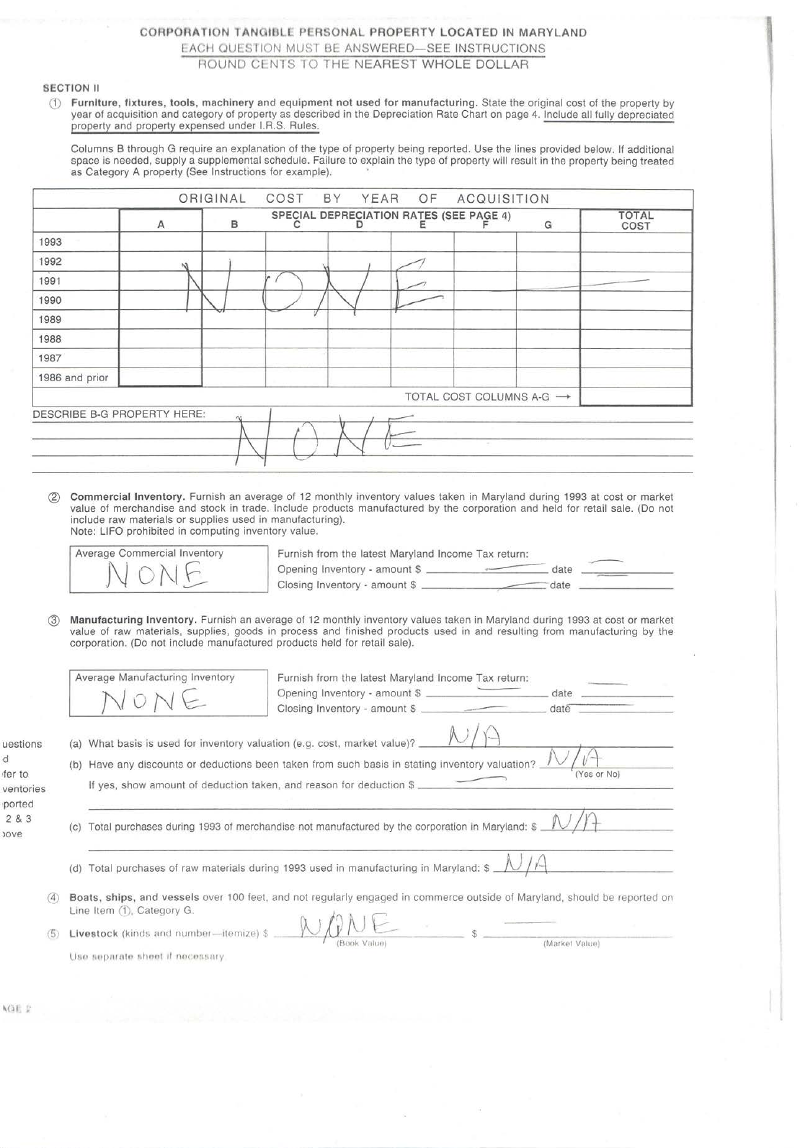# CORPORATION TANGIBLE PERSONAL PROPERTY LOCATED IN MARYLAND EACH QUESTION MUST BE ANSWERED-SEE INSTRUCTIONS ROUND CENTS TO THE NEAREST WHOLE DOLLAR

## SECTION II

Q) Furniture, fixtures, tools, machinery and equipment not used for manufacturing. State the original cost of the property by year of acquisition and category of property as described in the Depreciation Rate Chart on page 4. Include all fully depreciated property and property expensed under l.R.S. Rules.

Columns B through G require an explanation of the type of property being reported. Use the lines provided below. If additional space is needed, supply a supplemental schedule. Failure to explain the type of property will result in the property being treated as Category A property (See Instructions for example). •

|                             | A             | B   | C | SPECIAL DEPRECIATION RATES (SEE PAGE 4) |                          | G | <b>TOTAL</b><br>COST |
|-----------------------------|---------------|-----|---|-----------------------------------------|--------------------------|---|----------------------|
| 1993                        |               |     |   |                                         |                          |   |                      |
| 1992                        | $\mathcal{M}$ |     |   |                                         |                          |   |                      |
| 1991                        |               |     |   |                                         |                          |   |                      |
| 1990                        |               |     |   |                                         |                          |   |                      |
| 1989                        |               |     |   |                                         |                          |   |                      |
| 1988                        |               |     |   |                                         |                          |   |                      |
| 1987                        |               |     |   |                                         |                          |   |                      |
| 1986 and prior              |               |     |   |                                         |                          |   |                      |
|                             |               |     |   |                                         | TOTAL COST COLUMNS A-G → |   |                      |
| DESCRIBE B-G PROPERTY HERE: |               | At. |   |                                         |                          |   |                      |
|                             |               |     |   |                                         |                          |   |                      |
|                             |               |     |   |                                         |                          |   |                      |

® Commercial Inventory. Furnish an average of 12 monthly inventory values taken in Maryland during 1993 at cost or market value of merchandise and stock in trade. Include products manufactured by the corporation and held for retail sale. (Do not include raw materials or supplies used in manufacturing).

Note: LIFO prohibited in computing inventory value.

Average Commercial Inventory Furnish from the latest Maryland Income Tax return: IFO prohibited in computing inventory value.<br>  $\begin{picture}(150,10) \put(0,0){\line(1,0){155}} \put(150,0){\line(1,0){155}} \put(150,0){\line(1,0){155}} \put(150,0){\line(1,0){155}} \put(150,0){\line(1,0){155}} \put(150,0){\line(1,0){155}} \put(150,0){\line(1,0){155}} \put(150,0){\line(1,0){155}} \put(1$ Opening Inventory - amount \$

@ Manufacturing Inventory. Furnish an average of 12 monthly inventory values taken in Maryland during 1993 at cost or market value of raw materials, supplies, goods in process and finished products used in and resulting from manufacturing by the corporation. (Do not include manufactured products held for retail sale).

|                                      |                                                                                                                                                                                                                                                                    | Average Manufacturing Inventory<br>VONE | Furnish from the latest Maryland Income Tax return:<br>Opening Inventory - amount \$<br>Closing Inventory - amount \$ | date<br>date |  |  |  |
|--------------------------------------|--------------------------------------------------------------------------------------------------------------------------------------------------------------------------------------------------------------------------------------------------------------------|-----------------------------------------|-----------------------------------------------------------------------------------------------------------------------|--------------|--|--|--|
| uestions<br>ď<br>fer to<br>ventories | (a) What basis is used for inventory valuation (e.g. cost, market value)?<br>(b) Have any discounts or deductions been taken from such basis in stating inventory valuation?<br>(Yes or No)<br>If yes, show amount of deduction taken, and reason for deduction \$ |                                         |                                                                                                                       |              |  |  |  |
| ported<br>283<br>ove                 | Total purchases during 1993 of merchandise not manufactured by the corporation in Maryland: $\frac{N}{2}$<br>(C)                                                                                                                                                   |                                         |                                                                                                                       |              |  |  |  |
|                                      | (d)                                                                                                                                                                                                                                                                |                                         | Total purchases of raw materials during 1993 used in manufacturing in Maryland: $\frac{N}{4}$                         |              |  |  |  |
| (4)                                  | Boats, ships, and vessels over 100 feet, and not regularly engaged in commerce outside of Maryland, should be reported on<br>Line Item (1), Category G.                                                                                                            |                                         |                                                                                                                       |              |  |  |  |
| (5)                                  | Livestock (kinds and number-itemize) \$ ___<br>(Market Value)<br>Use separate sheet if necessary.                                                                                                                                                                  |                                         |                                                                                                                       |              |  |  |  |

AGE P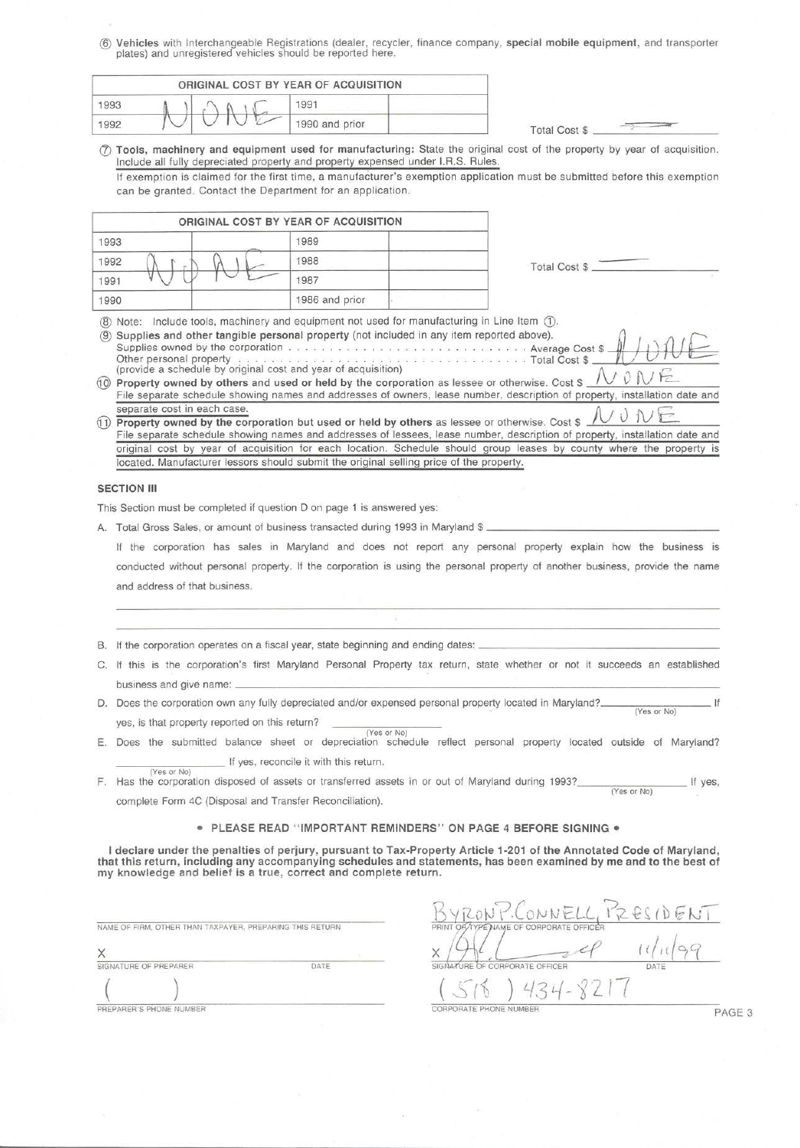® **Vehicles** with Interchangeable Registrations {dealer, recycler, finance company , **special mobile equipment,** and transporter plates) and unregistered vehicles should be reported here.

|      |             | ORIGINAL COST BY YEAR OF ACQUISITION |                |                      |  |
|------|-------------|--------------------------------------|----------------|----------------------|--|
| 1993 |             |                                      | 1991           |                      |  |
| 1992 | $\check{ }$ |                                      | 1990 and prior | <b>Total Cost \$</b> |  |

(!) **Tools, machinery and equipment used for manufacturing:** State the original cost of the property by year of acquisition . Include all fully depreciated property and property expensed under l.R.S. Rules.

If exemption is claimed for the first time, a manufacturer's exemption application must be submitted before this exemption can be granted. Contact the Department for an application.

|              | ORIGINAL COST BY YEAR OF ACQUISITION |                      |
|--------------|--------------------------------------|----------------------|
| 1993         | 1989                                 |                      |
| 1992<br>1988 |                                      | <b>Total Cost \$</b> |
| 1991         | 1987                                 |                      |
| 1990         | 1986 and prior                       |                      |

® Note: Include tools, machinery and equipment not used for manufacturing in Line Item G).

® **Supplies and other tangible personal property** (not included in any item reported above). ~ *<sup>J</sup>* Supplies owned by the corporation . Average Cost\$ \_\_ \_ ' t+---~ Other personal property . . . . . . . . . . . . . . . . . . . . . . .... . ...... Total Cost \$ \_ \_\_\_...,\_...\_.~ <sup>V</sup>\_\_ v \_\_\_ \_ Other personal property  $\ldots$   $\ldots$   $\ldots$   $\ldots$   $\ldots$   $\ldots$   $\ldots$   $\ldots$   $\ldots$   $\ldots$   $\ldots$   $\ldots$   $\ldots$   $\ldots$   $\ldots$   $\ldots$   $\ldots$   $\ldots$   $\ldots$   $\ldots$   $\ldots$   $\ldots$   $\ldots$   $\ldots$   $\ldots$   $\ldots$   $\ldots$   $\ldots$   $\ldots$   $\ldots$   $\ldots$   $\ldots$   $\ldots$ 

File separate schedule showing names and addresses of owners, lease number, description of property, installation date and separate cost in each case.<br>
1) **Property owned by the corporation but used or held by others** as lessee or otherwise. Cost \$  $\mathcal{N} \cup \mathcal{N} \subseteq$ 

File separate schedule showing names and addresses of lessees, lease number, description of property, installation date and original cost by year of acquisition for each location. Schedule should group leases by county where the property is located. Manufacturer lessors should submit the original selling price of the property.

### **SECTION III**

(Yes or No)

This Section must be completed if question D on page 1 is answered yes:

A. Total Gross Sales, or amount of business transacted during 1993 in Maryland \$ \_

If the corporation has sales in Maryland and does not report any personal property explain how the business is conducted without personal property. If the corporation is using the personal property of another business, provide the name and address of that business.

- B. If the corporation operates on a fiscal year, state beginning and ending dates:
- C. If this is the corporation 's first Maryland Personal Property tax return , state whether or not it succeeds an established business and give name:---------------------------------------
- D. Does the corporation own any fully depreciated and/or expensed personal property located in Maryland? \_\_\_\_\_\_\_\_\_\_\_\_\_\_\_\_ If (Yes or No) yes, is that property reported on this return?
- (Yes or No) E. Does the submitted balance sheet or depreciation schedule reflect personal property located outside of Maryland? If yes, reconcile it with this return.
- F. Has the corporation disposed of assets or transferred assets in or out of Maryland during 1993? \_\_\_\_\_\_\_\_\_ If yes, (Yes or No) complete Form 4C (Disposal and Transfer Reconciliation).

## • **PLEASE READ "IMPORTANT REMINDERS " ON PAGE 4 BEFORE SIGNING•**

**I declare under the penalties of perjury, pursuant to Tax-Property Article 1-201 of the Annotated Code of Maryland, that this return, including any accompanying schedules and statements, has been examined by me and to the best of my knowledge and belief is a true, correct and complete return .** 

|                       | NAME OF FIRM, OTHER THAN TAXPAYER, PREPARING THIS RETURN |      |
|-----------------------|----------------------------------------------------------|------|
|                       |                                                          |      |
| SIGNATURE OF PREPARER |                                                          | DATE |
|                       |                                                          |      |

CORPORATE OFFICER  $\frac{(5/5)}{6}$  /  $434 - 8217$ <br>PREPARER'S PHONE NUMBER

1

 $\bigcap_{\alpha}$